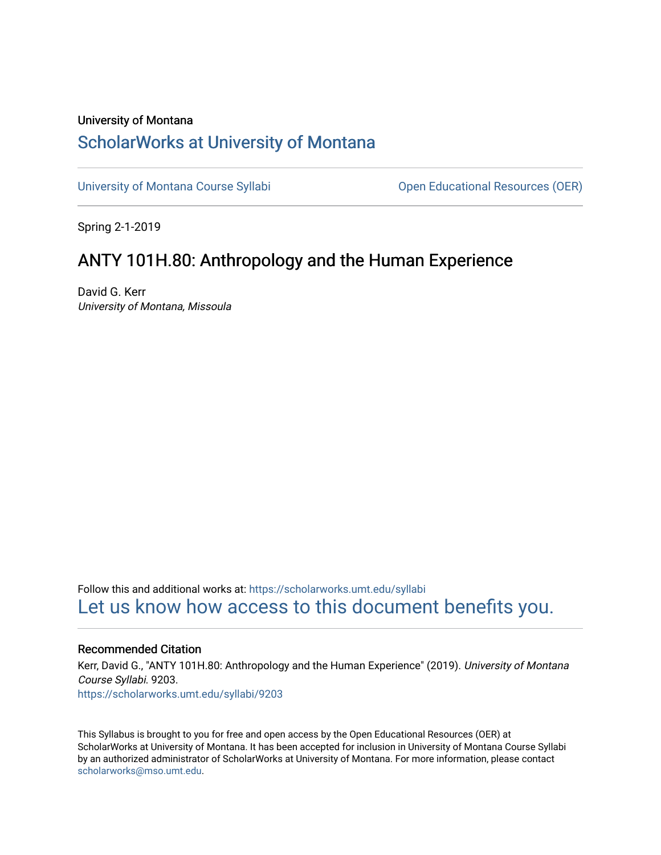## University of Montana [ScholarWorks at University of Montana](https://scholarworks.umt.edu/)

[University of Montana Course Syllabi](https://scholarworks.umt.edu/syllabi) **Company** Open Educational Resources (OER)

Spring 2-1-2019

# ANTY 101H.80: Anthropology and the Human Experience

David G. Kerr University of Montana, Missoula

Follow this and additional works at: [https://scholarworks.umt.edu/syllabi](https://scholarworks.umt.edu/syllabi?utm_source=scholarworks.umt.edu%2Fsyllabi%2F9203&utm_medium=PDF&utm_campaign=PDFCoverPages)  [Let us know how access to this document benefits you.](https://goo.gl/forms/s2rGfXOLzz71qgsB2) 

#### Recommended Citation

Kerr, David G., "ANTY 101H.80: Anthropology and the Human Experience" (2019). University of Montana Course Syllabi. 9203. [https://scholarworks.umt.edu/syllabi/9203](https://scholarworks.umt.edu/syllabi/9203?utm_source=scholarworks.umt.edu%2Fsyllabi%2F9203&utm_medium=PDF&utm_campaign=PDFCoverPages)

This Syllabus is brought to you for free and open access by the Open Educational Resources (OER) at ScholarWorks at University of Montana. It has been accepted for inclusion in University of Montana Course Syllabi by an authorized administrator of ScholarWorks at University of Montana. For more information, please contact [scholarworks@mso.umt.edu.](mailto:scholarworks@mso.umt.edu)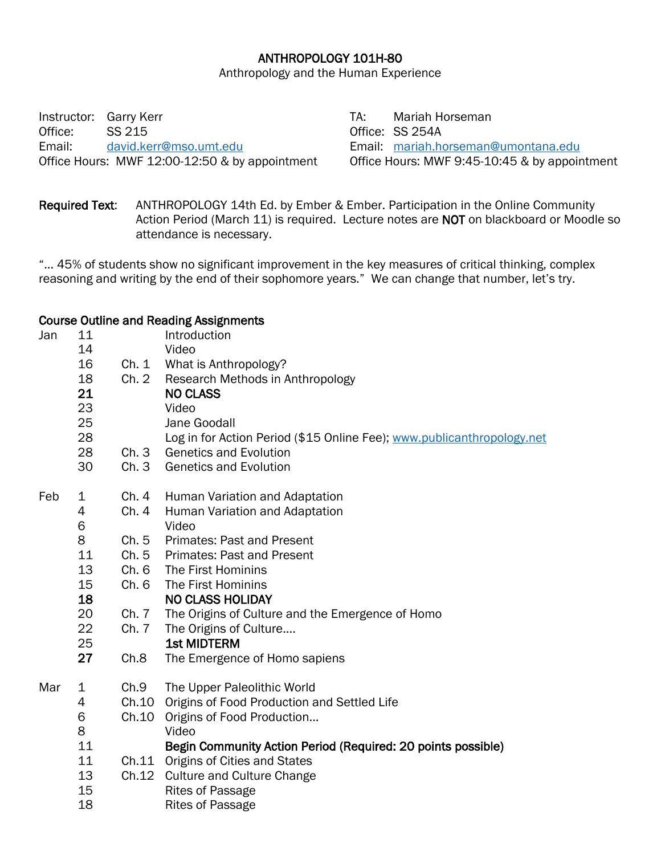## ANTHROPOLOGY 101H-80

Anthropology and the Human Experience

Instructor: Garry Kerr TA: Mariah Horseman Office: SS 215 Office: SS 254A Email: [david.kerr@mso.umt.edu](file:///C:/Users/cheri.ferguson/Box/H&S%20Office.%20Anthropology,%20Computer%20Science,%20Sociology/Course%20Syllabi/Anthropolgy/A1819/Spring%2019/Kerr,%20Garry/david.kerr@mso.umt.edu) Email: [mariah.horseman@umontana.edu](mailto:mariah.horseman@umontana.edu) Office Hours: MWF 12:00-12:50 & by appointment Office Hours: MWF 9:45-10:45 & by appointment

Required Text: ANTHROPOLOGY 14th Ed. by Ember & Ember. Participation in the Online Community Action Period (March 11) is required. Lecture notes are NOT on blackboard or Moodle so attendance is necessary.

"... 45% of students show no significant improvement in the key measures of critical thinking, complex reasoning and writing by the end of their sophomore years." We can change that number, let's try.

#### Course Outline and Reading Assignments

| Jan | 11<br>14    |       | Introduction<br>Video                                                  |  |  |
|-----|-------------|-------|------------------------------------------------------------------------|--|--|
|     | 16          | Ch. 1 | What is Anthropology?                                                  |  |  |
|     | 18          | Ch. 2 | Research Methods in Anthropology                                       |  |  |
|     | 21          |       | <b>NO CLASS</b>                                                        |  |  |
|     | 23          |       | Video                                                                  |  |  |
|     | 25          |       | Jane Goodall                                                           |  |  |
|     | 28          |       | Log in for Action Period (\$15 Online Fee); www.publicanthropology.net |  |  |
|     | 28          | Ch.3  | <b>Genetics and Evolution</b>                                          |  |  |
|     | 30          | Ch.3  | <b>Genetics and Evolution</b>                                          |  |  |
| Feb | $\mathbf 1$ | Ch.4  | Human Variation and Adaptation                                         |  |  |
|     | 4           | Ch.4  | Human Variation and Adaptation                                         |  |  |
|     | 6           |       | Video                                                                  |  |  |
|     | 8           | Ch.5  | <b>Primates: Past and Present</b>                                      |  |  |
|     | 11          | Ch.5  | <b>Primates: Past and Present</b>                                      |  |  |
|     | 13          | Ch. 6 | The First Hominins                                                     |  |  |
|     | 15          | Ch. 6 | The First Hominins                                                     |  |  |
|     | 18          |       | <b>NO CLASS HOLIDAY</b>                                                |  |  |
|     | 20          | Ch. 7 | The Origins of Culture and the Emergence of Homo                       |  |  |
|     | 22          | Ch. 7 | The Origins of Culture                                                 |  |  |
|     | 25          |       | <b>1st MIDTERM</b>                                                     |  |  |
|     | 27          | Ch.8  | The Emergence of Homo sapiens                                          |  |  |
| Mar | 1           | Ch.9  | The Upper Paleolithic World                                            |  |  |
|     | 4           | Ch.10 | Origins of Food Production and Settled Life                            |  |  |
|     | 6           | Ch.10 | Origins of Food Production                                             |  |  |
|     | 8           |       | Video                                                                  |  |  |
|     | 11          |       | Begin Community Action Period (Required: 20 points possible)           |  |  |
|     | 11          |       | Ch.11 Origins of Cities and States                                     |  |  |
|     | 13          | Ch.12 | <b>Culture and Culture Change</b>                                      |  |  |
|     | 15          |       | <b>Rites of Passage</b>                                                |  |  |
|     | 18          |       | <b>Rites of Passage</b>                                                |  |  |